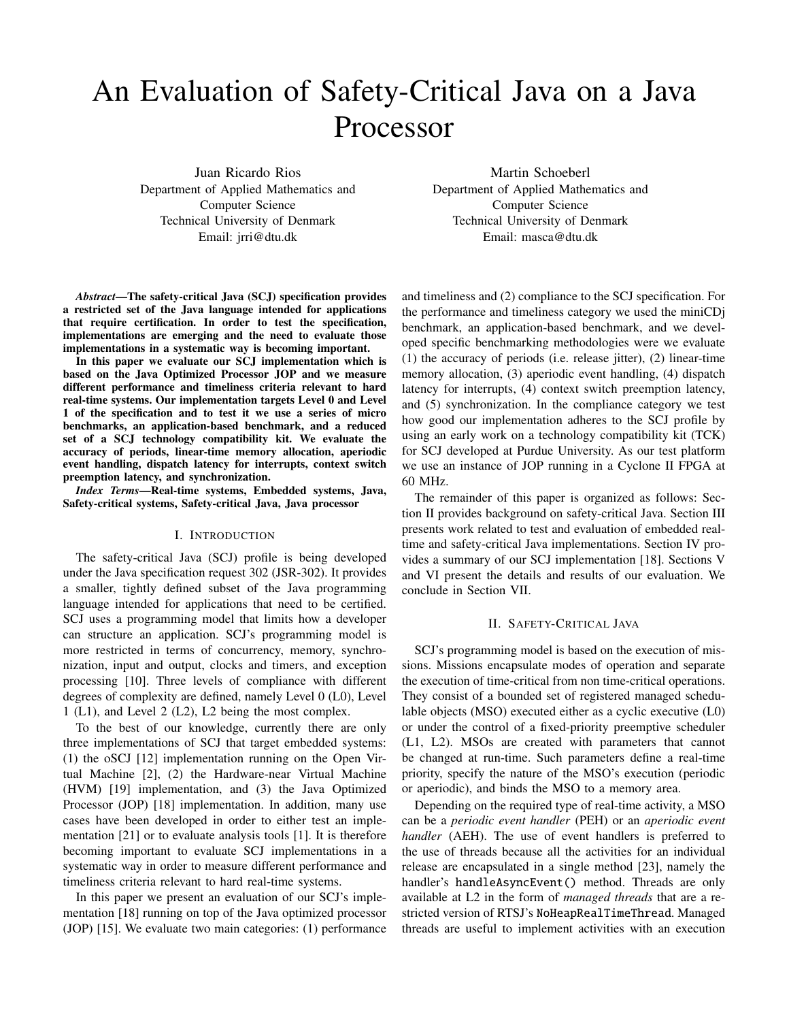# An Evaluation of Safety-Critical Java on a Java Processor

Juan Ricardo Rios Department of Applied Mathematics and Computer Science Technical University of Denmark Email: jrri@dtu.dk

Martin Schoeberl Department of Applied Mathematics and Computer Science Technical University of Denmark Email: masca@dtu.dk

*Abstract*—The safety-critical Java (SCJ) specification provides a restricted set of the Java language intended for applications that require certification. In order to test the specification, implementations are emerging and the need to evaluate those implementations in a systematic way is becoming important.

In this paper we evaluate our SCJ implementation which is based on the Java Optimized Processor JOP and we measure different performance and timeliness criteria relevant to hard real-time systems. Our implementation targets Level 0 and Level 1 of the specification and to test it we use a series of micro benchmarks, an application-based benchmark, and a reduced set of a SCJ technology compatibility kit. We evaluate the accuracy of periods, linear-time memory allocation, aperiodic event handling, dispatch latency for interrupts, context switch preemption latency, and synchronization.

*Index Terms*—Real-time systems, Embedded systems, Java, Safety-critical systems, Safety-critical Java, Java processor

## I. INTRODUCTION

The safety-critical Java (SCJ) profile is being developed under the Java specification request 302 (JSR-302). It provides a smaller, tightly defined subset of the Java programming language intended for applications that need to be certified. SCJ uses a programming model that limits how a developer can structure an application. SCJ's programming model is more restricted in terms of concurrency, memory, synchronization, input and output, clocks and timers, and exception processing [10]. Three levels of compliance with different degrees of complexity are defined, namely Level 0 (L0), Level 1 (L1), and Level 2 (L2), L2 being the most complex.

To the best of our knowledge, currently there are only three implementations of SCJ that target embedded systems: (1) the oSCJ [12] implementation running on the Open Virtual Machine [2], (2) the Hardware-near Virtual Machine (HVM) [19] implementation, and (3) the Java Optimized Processor (JOP) [18] implementation. In addition, many use cases have been developed in order to either test an implementation [21] or to evaluate analysis tools [1]. It is therefore becoming important to evaluate SCJ implementations in a systematic way in order to measure different performance and timeliness criteria relevant to hard real-time systems.

In this paper we present an evaluation of our SCJ's implementation [18] running on top of the Java optimized processor (JOP) [15]. We evaluate two main categories: (1) performance and timeliness and (2) compliance to the SCJ specification. For the performance and timeliness category we used the miniCDj benchmark, an application-based benchmark, and we developed specific benchmarking methodologies were we evaluate (1) the accuracy of periods (i.e. release jitter), (2) linear-time memory allocation, (3) aperiodic event handling, (4) dispatch latency for interrupts, (4) context switch preemption latency, and (5) synchronization. In the compliance category we test how good our implementation adheres to the SCJ profile by using an early work on a technology compatibility kit (TCK) for SCJ developed at Purdue University. As our test platform we use an instance of JOP running in a Cyclone II FPGA at 60 MHz.

The remainder of this paper is organized as follows: Section II provides background on safety-critical Java. Section III presents work related to test and evaluation of embedded realtime and safety-critical Java implementations. Section IV provides a summary of our SCJ implementation [18]. Sections V and VI present the details and results of our evaluation. We conclude in Section VII.

# II. SAFETY-CRITICAL JAVA

SCJ's programming model is based on the execution of missions. Missions encapsulate modes of operation and separate the execution of time-critical from non time-critical operations. They consist of a bounded set of registered managed schedulable objects (MSO) executed either as a cyclic executive (L0) or under the control of a fixed-priority preemptive scheduler (L1, L2). MSOs are created with parameters that cannot be changed at run-time. Such parameters define a real-time priority, specify the nature of the MSO's execution (periodic or aperiodic), and binds the MSO to a memory area.

Depending on the required type of real-time activity, a MSO can be a *periodic event handler* (PEH) or an *aperiodic event handler* (AEH). The use of event handlers is preferred to the use of threads because all the activities for an individual release are encapsulated in a single method [23], namely the handler's handleAsyncEvent() method. Threads are only available at L2 in the form of *managed threads* that are a restricted version of RTSJ's NoHeapRealTimeThread. Managed threads are useful to implement activities with an execution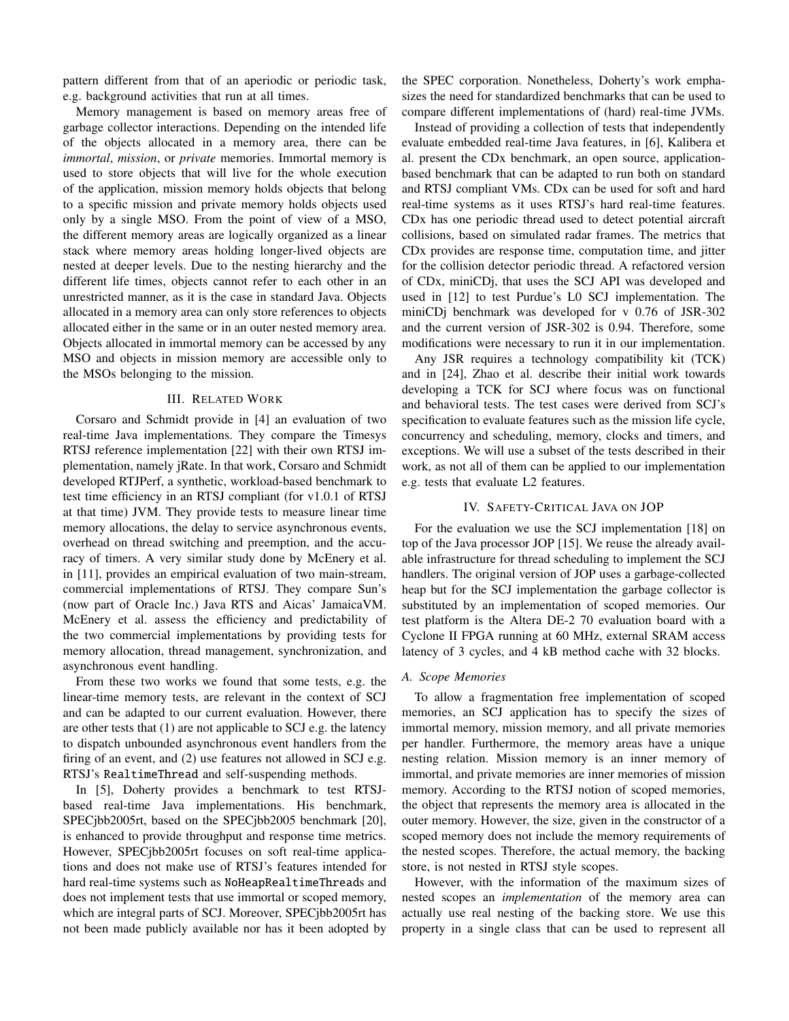pattern different from that of an aperiodic or periodic task, e.g. background activities that run at all times.

Memory management is based on memory areas free of garbage collector interactions. Depending on the intended life of the objects allocated in a memory area, there can be *immortal*, *mission*, or *private* memories. Immortal memory is used to store objects that will live for the whole execution of the application, mission memory holds objects that belong to a specific mission and private memory holds objects used only by a single MSO. From the point of view of a MSO, the different memory areas are logically organized as a linear stack where memory areas holding longer-lived objects are nested at deeper levels. Due to the nesting hierarchy and the different life times, objects cannot refer to each other in an unrestricted manner, as it is the case in standard Java. Objects allocated in a memory area can only store references to objects allocated either in the same or in an outer nested memory area. Objects allocated in immortal memory can be accessed by any MSO and objects in mission memory are accessible only to the MSOs belonging to the mission.

#### III. RELATED WORK

Corsaro and Schmidt provide in [4] an evaluation of two real-time Java implementations. They compare the Timesys RTSJ reference implementation [22] with their own RTSJ implementation, namely jRate. In that work, Corsaro and Schmidt developed RTJPerf, a synthetic, workload-based benchmark to test time efficiency in an RTSJ compliant (for v1.0.1 of RTSJ at that time) JVM. They provide tests to measure linear time memory allocations, the delay to service asynchronous events, overhead on thread switching and preemption, and the accuracy of timers. A very similar study done by McEnery et al. in [11], provides an empirical evaluation of two main-stream, commercial implementations of RTSJ. They compare Sun's (now part of Oracle Inc.) Java RTS and Aicas' JamaicaVM. McEnery et al. assess the efficiency and predictability of the two commercial implementations by providing tests for memory allocation, thread management, synchronization, and asynchronous event handling.

From these two works we found that some tests, e.g. the linear-time memory tests, are relevant in the context of SCJ and can be adapted to our current evaluation. However, there are other tests that (1) are not applicable to SCJ e.g. the latency to dispatch unbounded asynchronous event handlers from the firing of an event, and (2) use features not allowed in SCJ e.g. RTSJ's RealtimeThread and self-suspending methods.

In [5], Doherty provides a benchmark to test RTSJbased real-time Java implementations. His benchmark, SPECjbb2005rt, based on the SPECjbb2005 benchmark [20], is enhanced to provide throughput and response time metrics. However, SPECjbb2005rt focuses on soft real-time applications and does not make use of RTSJ's features intended for hard real-time systems such as NoHeapRealtimeThreads and does not implement tests that use immortal or scoped memory, which are integral parts of SCJ. Moreover, SPECjbb2005rt has not been made publicly available nor has it been adopted by the SPEC corporation. Nonetheless, Doherty's work emphasizes the need for standardized benchmarks that can be used to compare different implementations of (hard) real-time JVMs.

Instead of providing a collection of tests that independently evaluate embedded real-time Java features, in [6], Kalibera et al. present the CDx benchmark, an open source, applicationbased benchmark that can be adapted to run both on standard and RTSJ compliant VMs. CDx can be used for soft and hard real-time systems as it uses RTSJ's hard real-time features. CDx has one periodic thread used to detect potential aircraft collisions, based on simulated radar frames. The metrics that CDx provides are response time, computation time, and jitter for the collision detector periodic thread. A refactored version of CDx, miniCDj, that uses the SCJ API was developed and used in [12] to test Purdue's L0 SCJ implementation. The miniCDj benchmark was developed for v 0.76 of JSR-302 and the current version of JSR-302 is 0.94. Therefore, some modifications were necessary to run it in our implementation.

Any JSR requires a technology compatibility kit (TCK) and in [24], Zhao et al. describe their initial work towards developing a TCK for SCJ where focus was on functional and behavioral tests. The test cases were derived from SCJ's specification to evaluate features such as the mission life cycle, concurrency and scheduling, memory, clocks and timers, and exceptions. We will use a subset of the tests described in their work, as not all of them can be applied to our implementation e.g. tests that evaluate L2 features.

#### IV. SAFETY-CRITICAL JAVA ON JOP

For the evaluation we use the SCJ implementation [18] on top of the Java processor JOP [15]. We reuse the already available infrastructure for thread scheduling to implement the SCJ handlers. The original version of JOP uses a garbage-collected heap but for the SCJ implementation the garbage collector is substituted by an implementation of scoped memories. Our test platform is the Altera DE-2 70 evaluation board with a Cyclone II FPGA running at 60 MHz, external SRAM access latency of 3 cycles, and 4 kB method cache with 32 blocks.

#### *A. Scope Memories*

To allow a fragmentation free implementation of scoped memories, an SCJ application has to specify the sizes of immortal memory, mission memory, and all private memories per handler. Furthermore, the memory areas have a unique nesting relation. Mission memory is an inner memory of immortal, and private memories are inner memories of mission memory. According to the RTSJ notion of scoped memories, the object that represents the memory area is allocated in the outer memory. However, the size, given in the constructor of a scoped memory does not include the memory requirements of the nested scopes. Therefore, the actual memory, the backing store, is not nested in RTSJ style scopes.

However, with the information of the maximum sizes of nested scopes an *implementation* of the memory area can actually use real nesting of the backing store. We use this property in a single class that can be used to represent all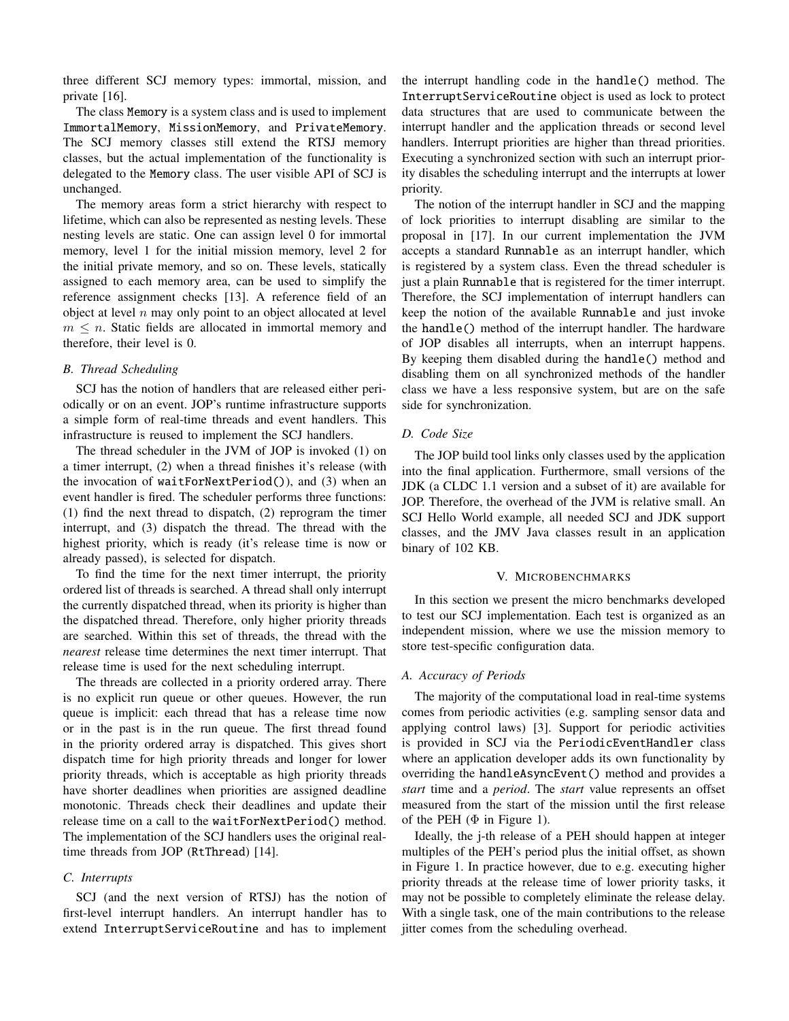three different SCJ memory types: immortal, mission, and private [16].

The class Memory is a system class and is used to implement ImmortalMemory, MissionMemory, and PrivateMemory. The SCJ memory classes still extend the RTSJ memory classes, but the actual implementation of the functionality is delegated to the Memory class. The user visible API of SCJ is unchanged.

The memory areas form a strict hierarchy with respect to lifetime, which can also be represented as nesting levels. These nesting levels are static. One can assign level 0 for immortal memory, level 1 for the initial mission memory, level 2 for the initial private memory, and so on. These levels, statically assigned to each memory area, can be used to simplify the reference assignment checks [13]. A reference field of an object at level  $n$  may only point to an object allocated at level  $m \leq n$ . Static fields are allocated in immortal memory and therefore, their level is 0.

## *B. Thread Scheduling*

SCJ has the notion of handlers that are released either periodically or on an event. JOP's runtime infrastructure supports a simple form of real-time threads and event handlers. This infrastructure is reused to implement the SCJ handlers.

The thread scheduler in the JVM of JOP is invoked (1) on a timer interrupt, (2) when a thread finishes it's release (with the invocation of waitForNextPeriod()), and (3) when an event handler is fired. The scheduler performs three functions: (1) find the next thread to dispatch, (2) reprogram the timer interrupt, and (3) dispatch the thread. The thread with the highest priority, which is ready (it's release time is now or already passed), is selected for dispatch.

To find the time for the next timer interrupt, the priority ordered list of threads is searched. A thread shall only interrupt the currently dispatched thread, when its priority is higher than the dispatched thread. Therefore, only higher priority threads are searched. Within this set of threads, the thread with the *nearest* release time determines the next timer interrupt. That release time is used for the next scheduling interrupt.

The threads are collected in a priority ordered array. There is no explicit run queue or other queues. However, the run queue is implicit: each thread that has a release time now or in the past is in the run queue. The first thread found in the priority ordered array is dispatched. This gives short dispatch time for high priority threads and longer for lower priority threads, which is acceptable as high priority threads have shorter deadlines when priorities are assigned deadline monotonic. Threads check their deadlines and update their release time on a call to the waitForNextPeriod() method. The implementation of the SCJ handlers uses the original realtime threads from JOP (RtThread) [14].

## *C. Interrupts*

SCJ (and the next version of RTSJ) has the notion of first-level interrupt handlers. An interrupt handler has to extend InterruptServiceRoutine and has to implement the interrupt handling code in the handle() method. The InterruptServiceRoutine object is used as lock to protect data structures that are used to communicate between the interrupt handler and the application threads or second level handlers. Interrupt priorities are higher than thread priorities. Executing a synchronized section with such an interrupt priority disables the scheduling interrupt and the interrupts at lower priority.

The notion of the interrupt handler in SCJ and the mapping of lock priorities to interrupt disabling are similar to the proposal in [17]. In our current implementation the JVM accepts a standard Runnable as an interrupt handler, which is registered by a system class. Even the thread scheduler is just a plain Runnable that is registered for the timer interrupt. Therefore, the SCJ implementation of interrupt handlers can keep the notion of the available Runnable and just invoke the handle() method of the interrupt handler. The hardware of JOP disables all interrupts, when an interrupt happens. By keeping them disabled during the handle() method and disabling them on all synchronized methods of the handler class we have a less responsive system, but are on the safe side for synchronization.

## *D. Code Size*

The JOP build tool links only classes used by the application into the final application. Furthermore, small versions of the JDK (a CLDC 1.1 version and a subset of it) are available for JOP. Therefore, the overhead of the JVM is relative small. An SCJ Hello World example, all needed SCJ and JDK support classes, and the JMV Java classes result in an application binary of 102 KB.

#### V. MICROBENCHMARKS

In this section we present the micro benchmarks developed to test our SCJ implementation. Each test is organized as an independent mission, where we use the mission memory to store test-specific configuration data.

### *A. Accuracy of Periods*

The majority of the computational load in real-time systems comes from periodic activities (e.g. sampling sensor data and applying control laws) [3]. Support for periodic activities is provided in SCJ via the PeriodicEventHandler class where an application developer adds its own functionality by overriding the handleAsyncEvent() method and provides a *start* time and a *period*. The *start* value represents an offset measured from the start of the mission until the first release of the PEH  $(\Phi$  in Figure 1).

Ideally, the j-th release of a PEH should happen at integer multiples of the PEH's period plus the initial offset, as shown in Figure 1. In practice however, due to e.g. executing higher priority threads at the release time of lower priority tasks, it may not be possible to completely eliminate the release delay. With a single task, one of the main contributions to the release jitter comes from the scheduling overhead.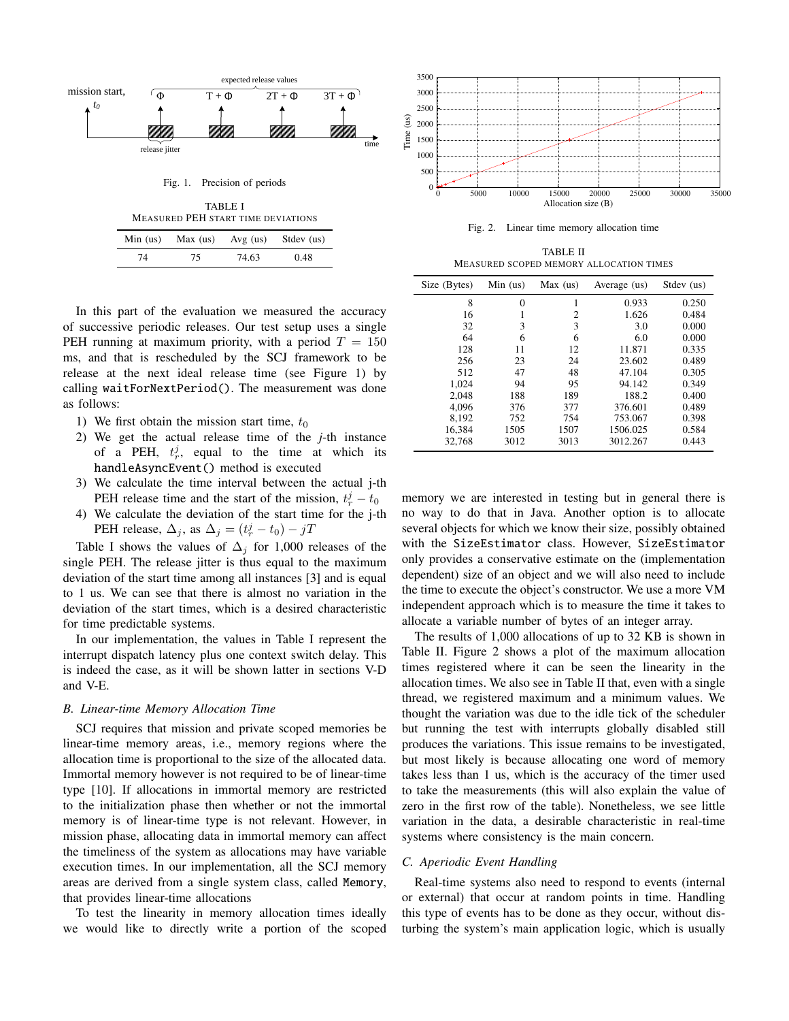

In this part of the evaluation we measured the accuracy of successive periodic releases. Our test setup uses a single PEH running at maximum priority, with a period  $T = 150$ ms, and that is rescheduled by the SCJ framework to be release at the next ideal release time (see Figure 1) by calling waitForNextPeriod(). The measurement was done as follows:

- 1) We first obtain the mission start time,  $t_0$
- 2) We get the actual release time of the *j*-th instance of a PEH,  $t_r^j$ , equal to the time at which its handleAsyncEvent() method is executed
- 3) We calculate the time interval between the actual j-th PEH release time and the start of the mission,  $t_r^j - t_0$
- 4) We calculate the deviation of the start time for the j-th PEH release,  $\Delta_j$ , as  $\Delta_j = (t_r^j - t_0) - jT$

Table I shows the values of  $\Delta_i$  for 1,000 releases of the single PEH. The release jitter is thus equal to the maximum deviation of the start time among all instances [3] and is equal to 1 us. We can see that there is almost no variation in the deviation of the start times, which is a desired characteristic for time predictable systems.

In our implementation, the values in Table I represent the interrupt dispatch latency plus one context switch delay. This is indeed the case, as it will be shown latter in sections V-D and V-E.

#### *B. Linear-time Memory Allocation Time*

SCJ requires that mission and private scoped memories be linear-time memory areas, i.e., memory regions where the allocation time is proportional to the size of the allocated data. Immortal memory however is not required to be of linear-time type [10]. If allocations in immortal memory are restricted to the initialization phase then whether or not the immortal memory is of linear-time type is not relevant. However, in mission phase, allocating data in immortal memory can affect the timeliness of the system as allocations may have variable execution times. In our implementation, all the SCJ memory areas are derived from a single system class, called Memory, that provides linear-time allocations

To test the linearity in memory allocation times ideally we would like to directly write a portion of the scoped



Fig. 2. Linear time memory allocation time

TABLE II MEASURED SCOPED MEMORY ALLOCATION TIMES

| Size (Bytes) | Min (us) | Max (us) | Average (us) | Stdev (us) |
|--------------|----------|----------|--------------|------------|
| 8            | $\Omega$ | 1        | 0.933        | 0.250      |
| 16           | 1        | 2        | 1.626        | 0.484      |
| 32           | 3        | 3        | 3.0          | 0.000      |
| 64           | 6        | 6        | 6.0          | 0.000      |
| 128          | 11       | 12       | 11.871       | 0.335      |
| 256          | 23       | 24       | 23.602       | 0.489      |
| 512          | 47       | 48       | 47.104       | 0.305      |
| 1.024        | 94       | 95       | 94.142       | 0.349      |
| 2,048        | 188      | 189      | 188.2        | 0.400      |
| 4,096        | 376      | 377      | 376.601      | 0.489      |
| 8.192        | 752      | 754      | 753.067      | 0.398      |
| 16,384       | 1505     | 1507     | 1506.025     | 0.584      |
| 32,768       | 3012     | 3013     | 3012.267     | 0.443      |

memory we are interested in testing but in general there is no way to do that in Java. Another option is to allocate several objects for which we know their size, possibly obtained with the SizeEstimator class. However, SizeEstimator only provides a conservative estimate on the (implementation dependent) size of an object and we will also need to include the time to execute the object's constructor. We use a more VM independent approach which is to measure the time it takes to allocate a variable number of bytes of an integer array.

The results of 1,000 allocations of up to 32 KB is shown in Table II. Figure 2 shows a plot of the maximum allocation times registered where it can be seen the linearity in the allocation times. We also see in Table II that, even with a single thread, we registered maximum and a minimum values. We thought the variation was due to the idle tick of the scheduler but running the test with interrupts globally disabled still produces the variations. This issue remains to be investigated, but most likely is because allocating one word of memory takes less than 1 us, which is the accuracy of the timer used to take the measurements (this will also explain the value of zero in the first row of the table). Nonetheless, we see little variation in the data, a desirable characteristic in real-time systems where consistency is the main concern.

#### *C. Aperiodic Event Handling*

Real-time systems also need to respond to events (internal or external) that occur at random points in time. Handling this type of events has to be done as they occur, without disturbing the system's main application logic, which is usually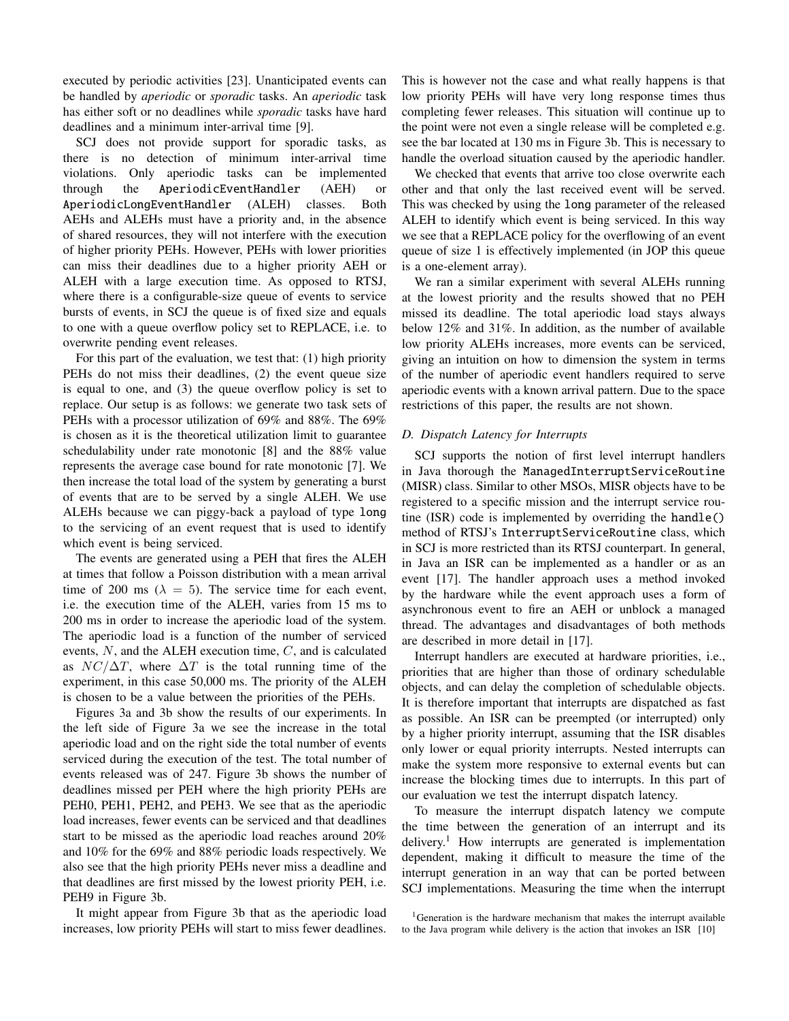executed by periodic activities [23]. Unanticipated events can be handled by *aperiodic* or *sporadic* tasks. An *aperiodic* task has either soft or no deadlines while *sporadic* tasks have hard deadlines and a minimum inter-arrival time [9].

SCJ does not provide support for sporadic tasks, as there is no detection of minimum inter-arrival time violations. Only aperiodic tasks can be implemented through the AperiodicEventHandler (AEH) or AperiodicLongEventHandler (ALEH) classes. Both AEHs and ALEHs must have a priority and, in the absence of shared resources, they will not interfere with the execution of higher priority PEHs. However, PEHs with lower priorities can miss their deadlines due to a higher priority AEH or ALEH with a large execution time. As opposed to RTSJ, where there is a configurable-size queue of events to service bursts of events, in SCJ the queue is of fixed size and equals to one with a queue overflow policy set to REPLACE, i.e. to overwrite pending event releases.

For this part of the evaluation, we test that: (1) high priority PEHs do not miss their deadlines, (2) the event queue size is equal to one, and (3) the queue overflow policy is set to replace. Our setup is as follows: we generate two task sets of PEHs with a processor utilization of 69% and 88%. The 69% is chosen as it is the theoretical utilization limit to guarantee schedulability under rate monotonic [8] and the 88% value represents the average case bound for rate monotonic [7]. We then increase the total load of the system by generating a burst of events that are to be served by a single ALEH. We use ALEHs because we can piggy-back a payload of type long to the servicing of an event request that is used to identify which event is being serviced.

The events are generated using a PEH that fires the ALEH at times that follow a Poisson distribution with a mean arrival time of 200 ms ( $\lambda = 5$ ). The service time for each event, i.e. the execution time of the ALEH, varies from 15 ms to 200 ms in order to increase the aperiodic load of the system. The aperiodic load is a function of the number of serviced events,  $N$ , and the ALEH execution time,  $C$ , and is calculated as  $NC/\Delta T$ , where  $\Delta T$  is the total running time of the experiment, in this case 50,000 ms. The priority of the ALEH is chosen to be a value between the priorities of the PEHs.

Figures 3a and 3b show the results of our experiments. In the left side of Figure 3a we see the increase in the total aperiodic load and on the right side the total number of events serviced during the execution of the test. The total number of events released was of 247. Figure 3b shows the number of deadlines missed per PEH where the high priority PEHs are PEH0, PEH1, PEH2, and PEH3. We see that as the aperiodic load increases, fewer events can be serviced and that deadlines start to be missed as the aperiodic load reaches around 20% and 10% for the 69% and 88% periodic loads respectively. We also see that the high priority PEHs never miss a deadline and that deadlines are first missed by the lowest priority PEH, i.e. PEH9 in Figure 3b.

It might appear from Figure 3b that as the aperiodic load increases, low priority PEHs will start to miss fewer deadlines. This is however not the case and what really happens is that low priority PEHs will have very long response times thus completing fewer releases. This situation will continue up to the point were not even a single release will be completed e.g. see the bar located at 130 ms in Figure 3b. This is necessary to handle the overload situation caused by the aperiodic handler.

We checked that events that arrive too close overwrite each other and that only the last received event will be served. This was checked by using the long parameter of the released ALEH to identify which event is being serviced. In this way we see that a REPLACE policy for the overflowing of an event queue of size 1 is effectively implemented (in JOP this queue is a one-element array).

We ran a similar experiment with several ALEHs running at the lowest priority and the results showed that no PEH missed its deadline. The total aperiodic load stays always below 12% and 31%. In addition, as the number of available low priority ALEHs increases, more events can be serviced, giving an intuition on how to dimension the system in terms of the number of aperiodic event handlers required to serve aperiodic events with a known arrival pattern. Due to the space restrictions of this paper, the results are not shown.

## *D. Dispatch Latency for Interrupts*

SCJ supports the notion of first level interrupt handlers in Java thorough the ManagedInterruptServiceRoutine (MISR) class. Similar to other MSOs, MISR objects have to be registered to a specific mission and the interrupt service routine (ISR) code is implemented by overriding the handle() method of RTSJ's InterruptServiceRoutine class, which in SCJ is more restricted than its RTSJ counterpart. In general, in Java an ISR can be implemented as a handler or as an event [17]. The handler approach uses a method invoked by the hardware while the event approach uses a form of asynchronous event to fire an AEH or unblock a managed thread. The advantages and disadvantages of both methods are described in more detail in [17].

Interrupt handlers are executed at hardware priorities, i.e., priorities that are higher than those of ordinary schedulable objects, and can delay the completion of schedulable objects. It is therefore important that interrupts are dispatched as fast as possible. An ISR can be preempted (or interrupted) only by a higher priority interrupt, assuming that the ISR disables only lower or equal priority interrupts. Nested interrupts can make the system more responsive to external events but can increase the blocking times due to interrupts. In this part of our evaluation we test the interrupt dispatch latency.

To measure the interrupt dispatch latency we compute the time between the generation of an interrupt and its delivery.<sup>1</sup> How interrupts are generated is implementation dependent, making it difficult to measure the time of the interrupt generation in an way that can be ported between SCJ implementations. Measuring the time when the interrupt

<sup>&</sup>lt;sup>1</sup>Generation is the hardware mechanism that makes the interrupt available to the Java program while delivery is the action that invokes an ISR [10]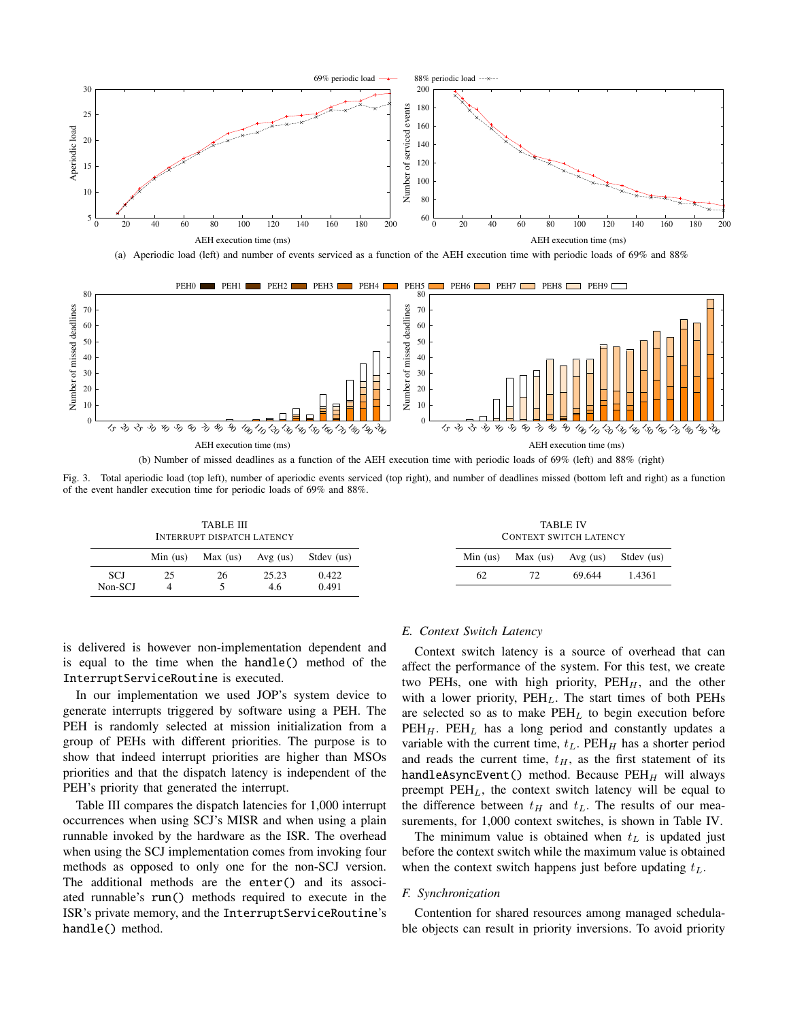

(a) Aperiodic load (left) and number of events serviced as a function of the AEH execution time with periodic loads of 69% and 88%



Fig. 3. Total aperiodic load (top left), number of aperiodic events serviced (top right), and number of deadlines missed (bottom left and right) as a function of the event handler execution time for periodic loads of 69% and 88%.

| TABLE III<br>INTERRUPT DISPATCH LATENCY |          |          |            | <b>TABLE IV</b><br><b>CONTEXT SWITCH LATENCY</b> |          |  |          |            |            |
|-----------------------------------------|----------|----------|------------|--------------------------------------------------|----------|--|----------|------------|------------|
|                                         | Min (us) | Max (us) | $Avg$ (us) | Stdev (us)                                       | Min (us) |  | Max (us) | $Avg$ (us) | Stdev (us) |
| <b>SCJ</b>                              | 25       | 26       | 25.23      | 0.422                                            | 62       |  | 72       | 69.644     | 1.4361     |
| Non-SCJ                                 |          |          | 4.6        | 0.491                                            |          |  |          |            |            |

is delivered is however non-implementation dependent and is equal to the time when the handle() method of the InterruptServiceRoutine is executed.

In our implementation we used JOP's system device to generate interrupts triggered by software using a PEH. The PEH is randomly selected at mission initialization from a group of PEHs with different priorities. The purpose is to show that indeed interrupt priorities are higher than MSOs priorities and that the dispatch latency is independent of the PEH's priority that generated the interrupt.

Table III compares the dispatch latencies for 1,000 interrupt occurrences when using SCJ's MISR and when using a plain runnable invoked by the hardware as the ISR. The overhead when using the SCJ implementation comes from invoking four methods as opposed to only one for the non-SCJ version. The additional methods are the enter() and its associated runnable's run() methods required to execute in the ISR's private memory, and the InterruptServiceRoutine's handle() method.

#### *E. Context Switch Latency*

Context switch latency is a source of overhead that can affect the performance of the system. For this test, we create two PEHs, one with high priority,  $PEH<sub>H</sub>$ , and the other with a lower priority,  $PEH<sub>L</sub>$ . The start times of both PEHs are selected so as to make  $PEH<sub>L</sub>$  to begin execution before  $PEH<sub>H</sub>$ .  $PEH<sub>L</sub>$  has a long period and constantly updates a variable with the current time,  $t_L$ . PEH<sub>H</sub> has a shorter period and reads the current time,  $t_H$ , as the first statement of its handleAsyncEvent() method. Because  $PEH<sub>H</sub>$  will always preempt  $PEH<sub>L</sub>$ , the context switch latency will be equal to the difference between  $t_H$  and  $t_L$ . The results of our measurements, for 1,000 context switches, is shown in Table IV.

The minimum value is obtained when  $t_L$  is updated just before the context switch while the maximum value is obtained when the context switch happens just before updating  $t_L$ .

#### *F. Synchronization*

Contention for shared resources among managed schedulable objects can result in priority inversions. To avoid priority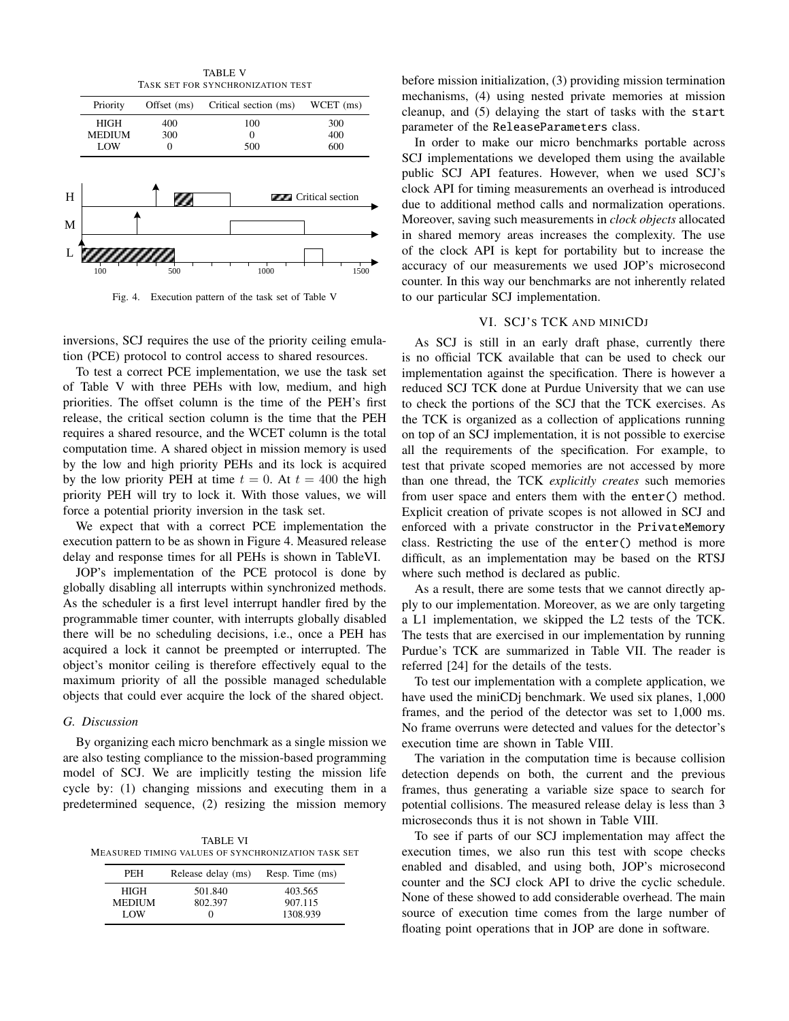

Fig. 4. Execution pattern of the task set of Table V

inversions, SCJ requires the use of the priority ceiling emulation (PCE) protocol to control access to shared resources.

To test a correct PCE implementation, we use the task set of Table V with three PEHs with low, medium, and high priorities. The offset column is the time of the PEH's first release, the critical section column is the time that the PEH requires a shared resource, and the WCET column is the total computation time. A shared object in mission memory is used by the low and high priority PEHs and its lock is acquired by the low priority PEH at time  $t = 0$ . At  $t = 400$  the high priority PEH will try to lock it. With those values, we will force a potential priority inversion in the task set.

We expect that with a correct PCE implementation the execution pattern to be as shown in Figure 4. Measured release delay and response times for all PEHs is shown in TableVI.

JOP's implementation of the PCE protocol is done by globally disabling all interrupts within synchronized methods. As the scheduler is a first level interrupt handler fired by the programmable timer counter, with interrupts globally disabled there will be no scheduling decisions, i.e., once a PEH has acquired a lock it cannot be preempted or interrupted. The object's monitor ceiling is therefore effectively equal to the maximum priority of all the possible managed schedulable objects that could ever acquire the lock of the shared object.

# *G. Discussion*

By organizing each micro benchmark as a single mission we are also testing compliance to the mission-based programming model of SCJ. We are implicitly testing the mission life cycle by: (1) changing missions and executing them in a predetermined sequence, (2) resizing the mission memory

TABLE VI MEASURED TIMING VALUES OF SYNCHRONIZATION TASK SET

| PEH    | Release delay (ms) | Resp. Time (ms) |
|--------|--------------------|-----------------|
| HIGH   | 501.840            | 403.565         |
| MEDIUM | 802.397            | 907.115         |
| LOW.   | 0                  | 1308.939        |

before mission initialization, (3) providing mission termination mechanisms, (4) using nested private memories at mission cleanup, and (5) delaying the start of tasks with the start parameter of the ReleaseParameters class.

In order to make our micro benchmarks portable across SCJ implementations we developed them using the available public SCJ API features. However, when we used SCJ's clock API for timing measurements an overhead is introduced due to additional method calls and normalization operations. Moreover, saving such measurements in *clock objects* allocated in shared memory areas increases the complexity. The use of the clock API is kept for portability but to increase the accuracy of our measurements we used JOP's microsecond counter. In this way our benchmarks are not inherently related to our particular SCJ implementation.

#### VI. SCJ'S TCK AND MINICDJ

As SCJ is still in an early draft phase, currently there is no official TCK available that can be used to check our implementation against the specification. There is however a reduced SCJ TCK done at Purdue University that we can use to check the portions of the SCJ that the TCK exercises. As the TCK is organized as a collection of applications running on top of an SCJ implementation, it is not possible to exercise all the requirements of the specification. For example, to test that private scoped memories are not accessed by more than one thread, the TCK *explicitly creates* such memories from user space and enters them with the enter() method. Explicit creation of private scopes is not allowed in SCJ and enforced with a private constructor in the PrivateMemory class. Restricting the use of the enter() method is more difficult, as an implementation may be based on the RTSJ where such method is declared as public.

As a result, there are some tests that we cannot directly apply to our implementation. Moreover, as we are only targeting a L1 implementation, we skipped the L2 tests of the TCK. The tests that are exercised in our implementation by running Purdue's TCK are summarized in Table VII. The reader is referred [24] for the details of the tests.

To test our implementation with a complete application, we have used the miniCD benchmark. We used six planes,  $1,000$ frames, and the period of the detector was set to 1,000 ms. No frame overruns were detected and values for the detector's execution time are shown in Table VIII.

The variation in the computation time is because collision detection depends on both, the current and the previous frames, thus generating a variable size space to search for potential collisions. The measured release delay is less than 3 microseconds thus it is not shown in Table VIII.

To see if parts of our SCJ implementation may affect the execution times, we also run this test with scope checks enabled and disabled, and using both, JOP's microsecond counter and the SCJ clock API to drive the cyclic schedule. None of these showed to add considerable overhead. The main source of execution time comes from the large number of floating point operations that in JOP are done in software.